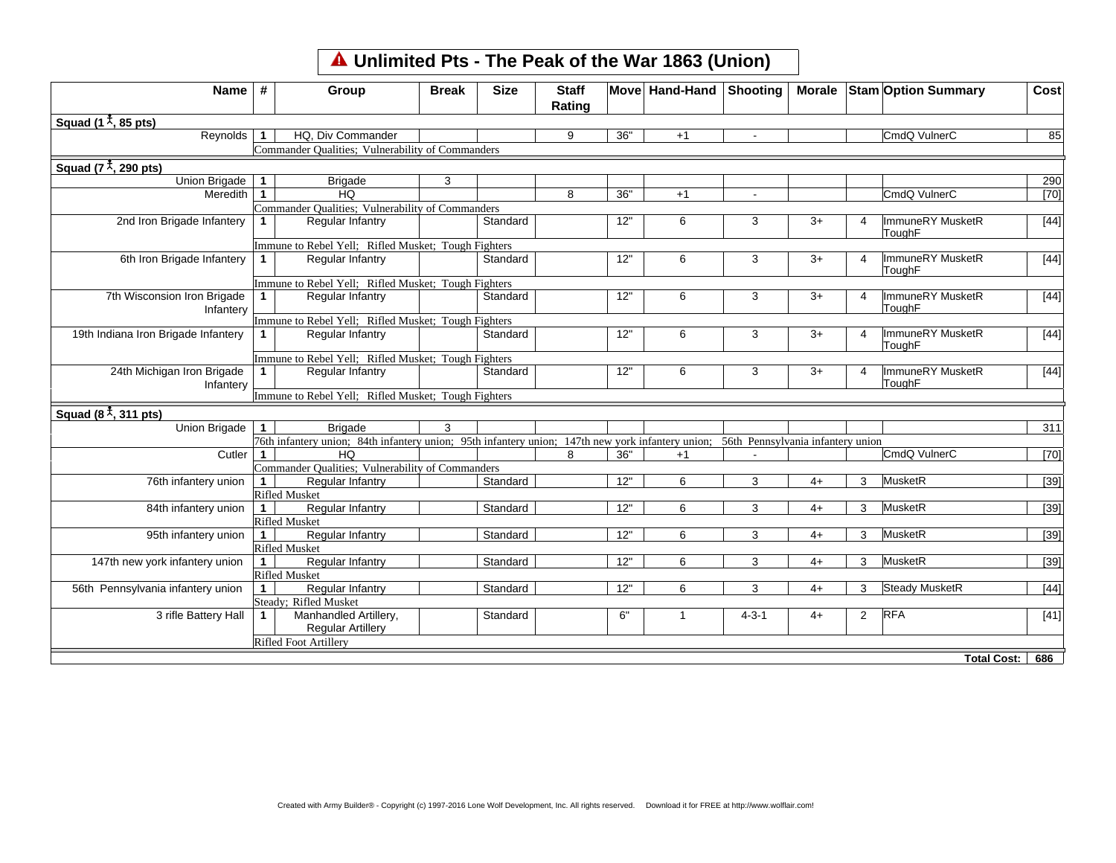## **Unlimited Pts - The Peak of the War 1863 (Union)**

| Squad (1 $\frac{1}{2}$ , 85 pts)<br>Reynolds<br>HQ, Div Commander<br>36"<br>CmdQ VulnerC<br>$\mathbf{1}$<br>9<br>$+1$<br>Commander Qualities; Vulnerability of Commanders<br>Squad $(7^{\frac{4}{3}}, 290 \text{ pts})$<br>Union Brigade<br>3<br>$\mathbf{1}$<br><b>Brigade</b><br><b>HQ</b><br>36"<br>CmdQ VulnerC<br>Meredith $\vert$ 1<br>8<br>$+1$<br>$\overline{a}$<br>Commander Qualities; Vulnerability of Commanders<br>2nd Iron Brigade Infantery<br><b>Regular Infantry</b><br>Standard<br>12"<br>ImmuneRY MusketR<br>6<br>3<br>3+<br>1.<br>4<br>ToughF<br>Immune to Rebel Yell; Rifled Musket; Tough Fighters<br>6th Iron Brigade Infantery<br>12"<br>Regular Infantry<br>Standard<br>6<br>3<br>$3+$<br>ImmuneRY MusketR<br>4<br>ToughF<br>Immune to Rebel Yell; Rifled Musket; Tough Fighters<br>7th Wisconsion Iron Brigade<br>Regular Infantry<br>12"<br>ImmuneRY MusketR<br>Standard<br>6<br>3<br>$3+$<br>1.<br>4<br>ToughF<br>Infantery<br>Immune to Rebel Yell; Rifled Musket; Tough Fighters<br>ImmuneRY MusketR<br>19th Indiana Iron Brigade Infantery<br>12"<br>Regular Infantry<br>Standard<br>6<br>3<br>$3+$<br>$\mathbf 1$<br>Δ<br>ToughF<br>Immune to Rebel Yell; Rifled Musket; Tough Fighters<br>24th Michigan Iron Brigade<br>ImmuneRY MusketR<br>Regular Infantry<br>Standard<br>12"<br>1<br>6<br>3<br>$3+$<br>ToughF<br>Infantery<br>Immune to Rebel Yell; Rifled Musket; Tough Fighters<br>Squad $(8\overset{4}{\star}, 311 \text{ pts})$<br><b>Brigade</b><br>3<br>Union Brigade<br>$\mathbf 1$<br>76th infantery union; 84th infantery union; 95th infantery union; 147th new york infantery union; 56th Pennsylvania infantery union<br>HQ<br>CmdQ VulnerC<br>Cutler<br>36"<br>$\mathbf{1}$<br>8<br>$+1$<br>Commander Qualities; Vulnerability of Commanders<br>76th infantery union<br>Standard<br>12"<br>MusketR<br>$\mathbf{1}$<br>Regular Infantry<br>6<br>3<br>$4+$<br>3<br><b>Rifled Musket</b><br>12"<br>MusketR<br>84th infantery union<br>Regular Infantry<br>Standard<br>6<br>3<br>3<br>$\mathbf{1}$<br>$4+$<br><b>Rifled Musket</b><br>MusketR<br>Regular Infantry<br>Standard<br>12"<br>3<br>3<br>95th infantery union<br>$\mathbf{1}$<br>6<br>$4+$<br><b>Rifled Musket</b><br>147th new york infantery union<br>Regular Infantry<br>Standard<br>12"<br>MusketR<br>$\mathbf{1}$<br>6<br>3<br>$4+$<br>3<br><b>Rifled Musket</b><br>56th Pennsylvania infantery union<br><b>Regular Infantry</b><br><b>Steady MusketR</b><br>Standard<br>12"<br>6<br>3<br>$\mathbf 1$<br>$4+$<br>3<br>Steady; Rifled Musket<br><b>RFA</b><br>3 rifle Battery Hall<br>Manhandled Artillery,<br>6"<br>$4 - 3 - 1$<br>$\overline{2}$<br>Standard<br>$4+$<br>$\mathbf 1$<br>1<br><b>Regular Artillery</b><br>Rifled Foot Artillery | Name | # | Group | <b>Break</b> | <b>Size</b> | <b>Staff</b><br>Rating | Move Hand-Hand Shooting |  | Morale Stam Option Summary | Cost   |
|-----------------------------------------------------------------------------------------------------------------------------------------------------------------------------------------------------------------------------------------------------------------------------------------------------------------------------------------------------------------------------------------------------------------------------------------------------------------------------------------------------------------------------------------------------------------------------------------------------------------------------------------------------------------------------------------------------------------------------------------------------------------------------------------------------------------------------------------------------------------------------------------------------------------------------------------------------------------------------------------------------------------------------------------------------------------------------------------------------------------------------------------------------------------------------------------------------------------------------------------------------------------------------------------------------------------------------------------------------------------------------------------------------------------------------------------------------------------------------------------------------------------------------------------------------------------------------------------------------------------------------------------------------------------------------------------------------------------------------------------------------------------------------------------------------------------------------------------------------------------------------------------------------------------------------------------------------------------------------------------------------------------------------------------------------------------------------------------------------------------------------------------------------------------------------------------------------------------------------------------------------------------------------------------------------------------------------------------------------------------------------------------------------------------------------------------------------------------------------------------------------------------------------------------------------------------------------------------------------------------------------------------------------------------------------------------------------------------------------------------------------------|------|---|-------|--------------|-------------|------------------------|-------------------------|--|----------------------------|--------|
|                                                                                                                                                                                                                                                                                                                                                                                                                                                                                                                                                                                                                                                                                                                                                                                                                                                                                                                                                                                                                                                                                                                                                                                                                                                                                                                                                                                                                                                                                                                                                                                                                                                                                                                                                                                                                                                                                                                                                                                                                                                                                                                                                                                                                                                                                                                                                                                                                                                                                                                                                                                                                                                                                                                                                           |      |   |       |              |             |                        |                         |  |                            |        |
|                                                                                                                                                                                                                                                                                                                                                                                                                                                                                                                                                                                                                                                                                                                                                                                                                                                                                                                                                                                                                                                                                                                                                                                                                                                                                                                                                                                                                                                                                                                                                                                                                                                                                                                                                                                                                                                                                                                                                                                                                                                                                                                                                                                                                                                                                                                                                                                                                                                                                                                                                                                                                                                                                                                                                           |      |   |       |              |             |                        |                         |  |                            | 85     |
|                                                                                                                                                                                                                                                                                                                                                                                                                                                                                                                                                                                                                                                                                                                                                                                                                                                                                                                                                                                                                                                                                                                                                                                                                                                                                                                                                                                                                                                                                                                                                                                                                                                                                                                                                                                                                                                                                                                                                                                                                                                                                                                                                                                                                                                                                                                                                                                                                                                                                                                                                                                                                                                                                                                                                           |      |   |       |              |             |                        |                         |  |                            |        |
|                                                                                                                                                                                                                                                                                                                                                                                                                                                                                                                                                                                                                                                                                                                                                                                                                                                                                                                                                                                                                                                                                                                                                                                                                                                                                                                                                                                                                                                                                                                                                                                                                                                                                                                                                                                                                                                                                                                                                                                                                                                                                                                                                                                                                                                                                                                                                                                                                                                                                                                                                                                                                                                                                                                                                           |      |   |       |              |             |                        |                         |  |                            |        |
|                                                                                                                                                                                                                                                                                                                                                                                                                                                                                                                                                                                                                                                                                                                                                                                                                                                                                                                                                                                                                                                                                                                                                                                                                                                                                                                                                                                                                                                                                                                                                                                                                                                                                                                                                                                                                                                                                                                                                                                                                                                                                                                                                                                                                                                                                                                                                                                                                                                                                                                                                                                                                                                                                                                                                           |      |   |       |              |             |                        |                         |  |                            | 290    |
|                                                                                                                                                                                                                                                                                                                                                                                                                                                                                                                                                                                                                                                                                                                                                                                                                                                                                                                                                                                                                                                                                                                                                                                                                                                                                                                                                                                                                                                                                                                                                                                                                                                                                                                                                                                                                                                                                                                                                                                                                                                                                                                                                                                                                                                                                                                                                                                                                                                                                                                                                                                                                                                                                                                                                           |      |   |       |              |             |                        |                         |  |                            | $[70]$ |
|                                                                                                                                                                                                                                                                                                                                                                                                                                                                                                                                                                                                                                                                                                                                                                                                                                                                                                                                                                                                                                                                                                                                                                                                                                                                                                                                                                                                                                                                                                                                                                                                                                                                                                                                                                                                                                                                                                                                                                                                                                                                                                                                                                                                                                                                                                                                                                                                                                                                                                                                                                                                                                                                                                                                                           |      |   |       |              |             |                        |                         |  |                            |        |
|                                                                                                                                                                                                                                                                                                                                                                                                                                                                                                                                                                                                                                                                                                                                                                                                                                                                                                                                                                                                                                                                                                                                                                                                                                                                                                                                                                                                                                                                                                                                                                                                                                                                                                                                                                                                                                                                                                                                                                                                                                                                                                                                                                                                                                                                                                                                                                                                                                                                                                                                                                                                                                                                                                                                                           |      |   |       |              |             |                        |                         |  |                            | $[44]$ |
|                                                                                                                                                                                                                                                                                                                                                                                                                                                                                                                                                                                                                                                                                                                                                                                                                                                                                                                                                                                                                                                                                                                                                                                                                                                                                                                                                                                                                                                                                                                                                                                                                                                                                                                                                                                                                                                                                                                                                                                                                                                                                                                                                                                                                                                                                                                                                                                                                                                                                                                                                                                                                                                                                                                                                           |      |   |       |              |             |                        |                         |  |                            |        |
|                                                                                                                                                                                                                                                                                                                                                                                                                                                                                                                                                                                                                                                                                                                                                                                                                                                                                                                                                                                                                                                                                                                                                                                                                                                                                                                                                                                                                                                                                                                                                                                                                                                                                                                                                                                                                                                                                                                                                                                                                                                                                                                                                                                                                                                                                                                                                                                                                                                                                                                                                                                                                                                                                                                                                           |      |   |       |              |             |                        |                         |  |                            | $[44]$ |
|                                                                                                                                                                                                                                                                                                                                                                                                                                                                                                                                                                                                                                                                                                                                                                                                                                                                                                                                                                                                                                                                                                                                                                                                                                                                                                                                                                                                                                                                                                                                                                                                                                                                                                                                                                                                                                                                                                                                                                                                                                                                                                                                                                                                                                                                                                                                                                                                                                                                                                                                                                                                                                                                                                                                                           |      |   |       |              |             |                        |                         |  |                            |        |
|                                                                                                                                                                                                                                                                                                                                                                                                                                                                                                                                                                                                                                                                                                                                                                                                                                                                                                                                                                                                                                                                                                                                                                                                                                                                                                                                                                                                                                                                                                                                                                                                                                                                                                                                                                                                                                                                                                                                                                                                                                                                                                                                                                                                                                                                                                                                                                                                                                                                                                                                                                                                                                                                                                                                                           |      |   |       |              |             |                        |                         |  |                            | $[44]$ |
|                                                                                                                                                                                                                                                                                                                                                                                                                                                                                                                                                                                                                                                                                                                                                                                                                                                                                                                                                                                                                                                                                                                                                                                                                                                                                                                                                                                                                                                                                                                                                                                                                                                                                                                                                                                                                                                                                                                                                                                                                                                                                                                                                                                                                                                                                                                                                                                                                                                                                                                                                                                                                                                                                                                                                           |      |   |       |              |             |                        |                         |  |                            |        |
|                                                                                                                                                                                                                                                                                                                                                                                                                                                                                                                                                                                                                                                                                                                                                                                                                                                                                                                                                                                                                                                                                                                                                                                                                                                                                                                                                                                                                                                                                                                                                                                                                                                                                                                                                                                                                                                                                                                                                                                                                                                                                                                                                                                                                                                                                                                                                                                                                                                                                                                                                                                                                                                                                                                                                           |      |   |       |              |             |                        |                         |  |                            | $[44]$ |
|                                                                                                                                                                                                                                                                                                                                                                                                                                                                                                                                                                                                                                                                                                                                                                                                                                                                                                                                                                                                                                                                                                                                                                                                                                                                                                                                                                                                                                                                                                                                                                                                                                                                                                                                                                                                                                                                                                                                                                                                                                                                                                                                                                                                                                                                                                                                                                                                                                                                                                                                                                                                                                                                                                                                                           |      |   |       |              |             |                        |                         |  |                            |        |
|                                                                                                                                                                                                                                                                                                                                                                                                                                                                                                                                                                                                                                                                                                                                                                                                                                                                                                                                                                                                                                                                                                                                                                                                                                                                                                                                                                                                                                                                                                                                                                                                                                                                                                                                                                                                                                                                                                                                                                                                                                                                                                                                                                                                                                                                                                                                                                                                                                                                                                                                                                                                                                                                                                                                                           |      |   |       |              |             |                        |                         |  |                            | $[44]$ |
|                                                                                                                                                                                                                                                                                                                                                                                                                                                                                                                                                                                                                                                                                                                                                                                                                                                                                                                                                                                                                                                                                                                                                                                                                                                                                                                                                                                                                                                                                                                                                                                                                                                                                                                                                                                                                                                                                                                                                                                                                                                                                                                                                                                                                                                                                                                                                                                                                                                                                                                                                                                                                                                                                                                                                           |      |   |       |              |             |                        |                         |  |                            |        |
|                                                                                                                                                                                                                                                                                                                                                                                                                                                                                                                                                                                                                                                                                                                                                                                                                                                                                                                                                                                                                                                                                                                                                                                                                                                                                                                                                                                                                                                                                                                                                                                                                                                                                                                                                                                                                                                                                                                                                                                                                                                                                                                                                                                                                                                                                                                                                                                                                                                                                                                                                                                                                                                                                                                                                           |      |   |       |              |             |                        |                         |  |                            |        |
|                                                                                                                                                                                                                                                                                                                                                                                                                                                                                                                                                                                                                                                                                                                                                                                                                                                                                                                                                                                                                                                                                                                                                                                                                                                                                                                                                                                                                                                                                                                                                                                                                                                                                                                                                                                                                                                                                                                                                                                                                                                                                                                                                                                                                                                                                                                                                                                                                                                                                                                                                                                                                                                                                                                                                           |      |   |       |              |             |                        |                         |  |                            | 311    |
|                                                                                                                                                                                                                                                                                                                                                                                                                                                                                                                                                                                                                                                                                                                                                                                                                                                                                                                                                                                                                                                                                                                                                                                                                                                                                                                                                                                                                                                                                                                                                                                                                                                                                                                                                                                                                                                                                                                                                                                                                                                                                                                                                                                                                                                                                                                                                                                                                                                                                                                                                                                                                                                                                                                                                           |      |   |       |              |             |                        |                         |  |                            |        |
|                                                                                                                                                                                                                                                                                                                                                                                                                                                                                                                                                                                                                                                                                                                                                                                                                                                                                                                                                                                                                                                                                                                                                                                                                                                                                                                                                                                                                                                                                                                                                                                                                                                                                                                                                                                                                                                                                                                                                                                                                                                                                                                                                                                                                                                                                                                                                                                                                                                                                                                                                                                                                                                                                                                                                           |      |   |       |              |             |                        |                         |  |                            | [70]   |
|                                                                                                                                                                                                                                                                                                                                                                                                                                                                                                                                                                                                                                                                                                                                                                                                                                                                                                                                                                                                                                                                                                                                                                                                                                                                                                                                                                                                                                                                                                                                                                                                                                                                                                                                                                                                                                                                                                                                                                                                                                                                                                                                                                                                                                                                                                                                                                                                                                                                                                                                                                                                                                                                                                                                                           |      |   |       |              |             |                        |                         |  |                            |        |
|                                                                                                                                                                                                                                                                                                                                                                                                                                                                                                                                                                                                                                                                                                                                                                                                                                                                                                                                                                                                                                                                                                                                                                                                                                                                                                                                                                                                                                                                                                                                                                                                                                                                                                                                                                                                                                                                                                                                                                                                                                                                                                                                                                                                                                                                                                                                                                                                                                                                                                                                                                                                                                                                                                                                                           |      |   |       |              |             |                        |                         |  |                            | $[39]$ |
|                                                                                                                                                                                                                                                                                                                                                                                                                                                                                                                                                                                                                                                                                                                                                                                                                                                                                                                                                                                                                                                                                                                                                                                                                                                                                                                                                                                                                                                                                                                                                                                                                                                                                                                                                                                                                                                                                                                                                                                                                                                                                                                                                                                                                                                                                                                                                                                                                                                                                                                                                                                                                                                                                                                                                           |      |   |       |              |             |                        |                         |  |                            |        |
|                                                                                                                                                                                                                                                                                                                                                                                                                                                                                                                                                                                                                                                                                                                                                                                                                                                                                                                                                                                                                                                                                                                                                                                                                                                                                                                                                                                                                                                                                                                                                                                                                                                                                                                                                                                                                                                                                                                                                                                                                                                                                                                                                                                                                                                                                                                                                                                                                                                                                                                                                                                                                                                                                                                                                           |      |   |       |              |             |                        |                         |  |                            | $[39]$ |
|                                                                                                                                                                                                                                                                                                                                                                                                                                                                                                                                                                                                                                                                                                                                                                                                                                                                                                                                                                                                                                                                                                                                                                                                                                                                                                                                                                                                                                                                                                                                                                                                                                                                                                                                                                                                                                                                                                                                                                                                                                                                                                                                                                                                                                                                                                                                                                                                                                                                                                                                                                                                                                                                                                                                                           |      |   |       |              |             |                        |                         |  |                            |        |
|                                                                                                                                                                                                                                                                                                                                                                                                                                                                                                                                                                                                                                                                                                                                                                                                                                                                                                                                                                                                                                                                                                                                                                                                                                                                                                                                                                                                                                                                                                                                                                                                                                                                                                                                                                                                                                                                                                                                                                                                                                                                                                                                                                                                                                                                                                                                                                                                                                                                                                                                                                                                                                                                                                                                                           |      |   |       |              |             |                        |                         |  |                            | $[39]$ |
|                                                                                                                                                                                                                                                                                                                                                                                                                                                                                                                                                                                                                                                                                                                                                                                                                                                                                                                                                                                                                                                                                                                                                                                                                                                                                                                                                                                                                                                                                                                                                                                                                                                                                                                                                                                                                                                                                                                                                                                                                                                                                                                                                                                                                                                                                                                                                                                                                                                                                                                                                                                                                                                                                                                                                           |      |   |       |              |             |                        |                         |  |                            |        |
|                                                                                                                                                                                                                                                                                                                                                                                                                                                                                                                                                                                                                                                                                                                                                                                                                                                                                                                                                                                                                                                                                                                                                                                                                                                                                                                                                                                                                                                                                                                                                                                                                                                                                                                                                                                                                                                                                                                                                                                                                                                                                                                                                                                                                                                                                                                                                                                                                                                                                                                                                                                                                                                                                                                                                           |      |   |       |              |             |                        |                         |  |                            | $[39]$ |
|                                                                                                                                                                                                                                                                                                                                                                                                                                                                                                                                                                                                                                                                                                                                                                                                                                                                                                                                                                                                                                                                                                                                                                                                                                                                                                                                                                                                                                                                                                                                                                                                                                                                                                                                                                                                                                                                                                                                                                                                                                                                                                                                                                                                                                                                                                                                                                                                                                                                                                                                                                                                                                                                                                                                                           |      |   |       |              |             |                        |                         |  |                            |        |
|                                                                                                                                                                                                                                                                                                                                                                                                                                                                                                                                                                                                                                                                                                                                                                                                                                                                                                                                                                                                                                                                                                                                                                                                                                                                                                                                                                                                                                                                                                                                                                                                                                                                                                                                                                                                                                                                                                                                                                                                                                                                                                                                                                                                                                                                                                                                                                                                                                                                                                                                                                                                                                                                                                                                                           |      |   |       |              |             |                        |                         |  |                            | $[44]$ |
|                                                                                                                                                                                                                                                                                                                                                                                                                                                                                                                                                                                                                                                                                                                                                                                                                                                                                                                                                                                                                                                                                                                                                                                                                                                                                                                                                                                                                                                                                                                                                                                                                                                                                                                                                                                                                                                                                                                                                                                                                                                                                                                                                                                                                                                                                                                                                                                                                                                                                                                                                                                                                                                                                                                                                           |      |   |       |              |             |                        |                         |  |                            |        |
|                                                                                                                                                                                                                                                                                                                                                                                                                                                                                                                                                                                                                                                                                                                                                                                                                                                                                                                                                                                                                                                                                                                                                                                                                                                                                                                                                                                                                                                                                                                                                                                                                                                                                                                                                                                                                                                                                                                                                                                                                                                                                                                                                                                                                                                                                                                                                                                                                                                                                                                                                                                                                                                                                                                                                           |      |   |       |              |             |                        |                         |  |                            | $[41]$ |
|                                                                                                                                                                                                                                                                                                                                                                                                                                                                                                                                                                                                                                                                                                                                                                                                                                                                                                                                                                                                                                                                                                                                                                                                                                                                                                                                                                                                                                                                                                                                                                                                                                                                                                                                                                                                                                                                                                                                                                                                                                                                                                                                                                                                                                                                                                                                                                                                                                                                                                                                                                                                                                                                                                                                                           |      |   |       |              |             |                        |                         |  |                            |        |